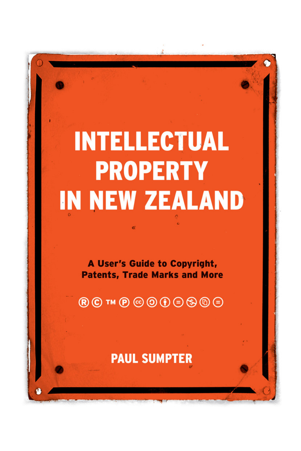# **INTELLECTUAL PROPERTY IN NEW ZEALAND**

**A User's Guide to Copyright, Patents, Trade Marks and More** 

®©™®©©⊕⊜**S**®⊜

**PAUL SUMPTER**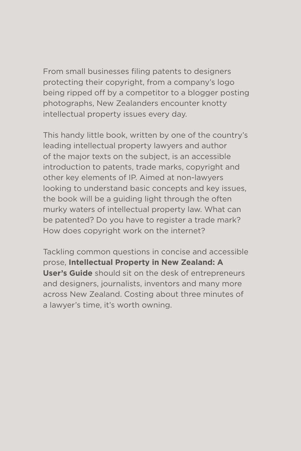From small businesses filing patents to designers protecting their copyright, from a company's logo being ripped off by a competitor to a blogger posting photographs, New Zealanders encounter knotty intellectual property issues every day.

This handy little book, written by one of the country's leading intellectual property lawyers and author of the major texts on the subject, is an accessible introduction to patents, trade marks, copyright and other key elements of IP. Aimed at non-lawyers looking to understand basic concepts and key issues, the book will be a guiding light through the often murky waters of intellectual property law. What can be patented? Do you have to register a trade mark? How does copyright work on the internet?

Tackling common questions in concise and accessible prose, **Intellectual Property in New Zealand: A User's Guide** should sit on the desk of entrepreneurs and designers, journalists, inventors and many more across New Zealand. Costing about three minutes of a lawyer's time, it's worth owning.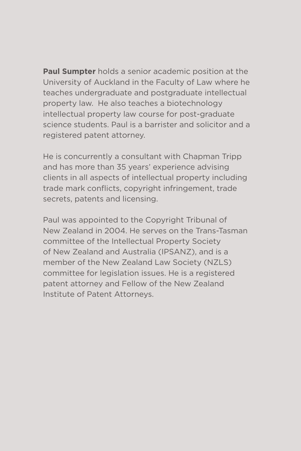**Paul Sumpter** holds a senior academic position at the University of Auckland in the Faculty of Law where he teaches undergraduate and postgraduate intellectual property law. He also teaches a biotechnology intellectual property law course for post-graduate science students. Paul is a barrister and solicitor and a registered patent attorney.

He is concurrently a consultant with Chapman Tripp and has more than 35 years' experience advising clients in all aspects of intellectual property including trade mark conflicts, copyright infringement, trade secrets, patents and licensing.

Paul was appointed to the Copyright Tribunal of New Zealand in 2004. He serves on the Trans-Tasman committee of the Intellectual Property Society of New Zealand and Australia (IPSANZ), and is a member of the New Zealand Law Society (NZLS) committee for legislation issues. He is a registered patent attorney and Fellow of the New Zealand Institute of Patent Attorneys.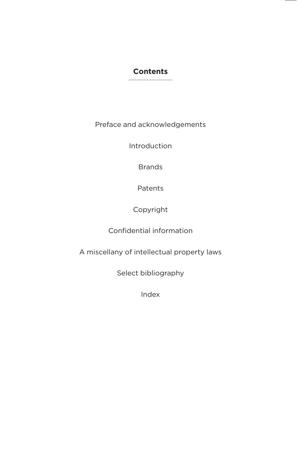## **Contents**

Preface and acknowledgements

Introduction

Brands

Patents

Copyright

Confidential information

A miscellany of intellectual property laws

Select bibliography

Index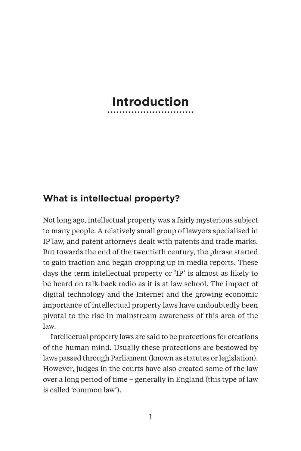# **Introduction**

#### **What is intellectual property?**

Not long ago, intellectual property was a fairly mysterious subject to many people. A relatively small group of lawyers specialised in IP law, and patent attorneys dealt with patents and trade marks. But towards the end of the twentieth century, the phrase started to gain traction and began cropping up in media reports. These days the term intellectual property or 'IP' is almost as likely to be heard on talk-back radio as it is at law school. The impact of digital technology and the Internet and the growing economic importance of intellectual property laws have undoubtedly been pivotal to the rise in mainstream awareness of this area of the law.

Intellectual property laws are said to be protections for creations of the human mind. Usually these protections are bestowed by laws passed through Parliament (known as statutes or legislation). However, judges in the courts have also created some of the law over a long period of time – generally in England (this type of law is called 'common law').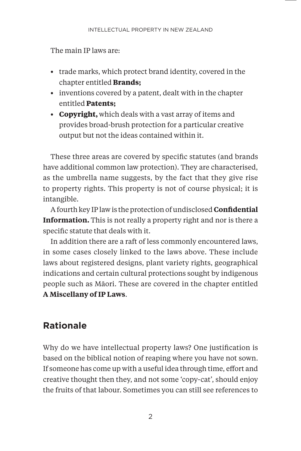The main IP laws are:

- **•** trade marks, which protect brand identity, covered in the chapter entitled **Brands;**
- **•** inventions covered by a patent, dealt with in the chapter entitled **Patents;**
- **• Copyright,** which deals with a vast array of items and provides broad-brush protection for a particular creative output but not the ideas contained within it.

These three areas are covered by specific statutes (and brands have additional common law protection). They are characterised, as the umbrella name suggests, by the fact that they give rise to property rights. This property is not of course physical; it is intangible.

A fourth key IP law is the protection of undisclosed **Confidential Information.** This is not really a property right and nor is there a specific statute that deals with it.

In addition there are a raft of less commonly encountered laws, in some cases closely linked to the laws above. These include laws about registered designs, plant variety rights, geographical indications and certain cultural protections sought by indigenous people such as Māori. These are covered in the chapter entitled **A Miscellany of IP Laws**.

## **Rationale**

Why do we have intellectual property laws? One justification is based on the biblical notion of reaping where you have not sown. If someone has come up with a useful idea through time, effort and creative thought then they, and not some 'copy-cat', should enjoy the fruits of that labour. Sometimes you can still see references to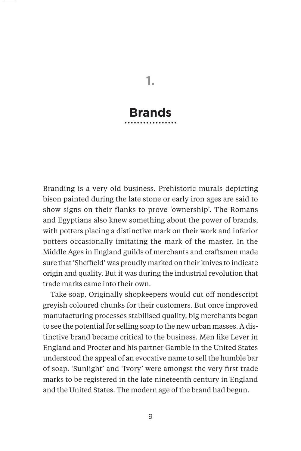# **Brands**

**1.**

Branding is a very old business. Prehistoric murals depicting bison painted during the late stone or early iron ages are said to show signs on their flanks to prove 'ownership'. The Romans and Egyptians also knew something about the power of brands, with potters placing a distinctive mark on their work and inferior potters occasionally imitating the mark of the master. In the Middle Ages in England guilds of merchants and craftsmen made sure that 'Sheffield' was proudly marked on their knives to indicate origin and quality. But it was during the industrial revolution that trade marks came into their own.

Take soap. Originally shopkeepers would cut off nondescript greyish coloured chunks for their customers. But once improved manufacturing processes stabilised quality, big merchants began to see the potential for selling soap to the new urban masses. A distinctive brand became critical to the business. Men like Lever in England and Procter and his partner Gamble in the United States understood the appeal of an evocative name to sell the humble bar of soap. 'Sunlight' and 'Ivory' were amongst the very first trade marks to be registered in the late nineteenth century in England and the United States. The modern age of the brand had begun.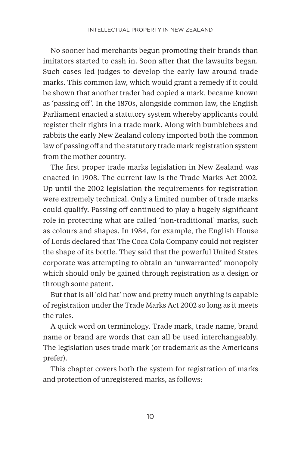No sooner had merchants begun promoting their brands than imitators started to cash in. Soon after that the lawsuits began. Such cases led judges to develop the early law around trade marks. This common law, which would grant a remedy if it could be shown that another trader had copied a mark, became known as 'passing off'. In the 1870s, alongside common law, the English Parliament enacted a statutory system whereby applicants could register their rights in a trade mark. Along with bumblebees and rabbits the early New Zealand colony imported both the common law of passing off and the statutory trade mark registration system from the mother country.

The first proper trade marks legislation in New Zealand was enacted in 1908. The current law is the Trade Marks Act 2002. Up until the 2002 legislation the requirements for registration were extremely technical. Only a limited number of trade marks could qualify. Passing off continued to play a hugely significant role in protecting what are called 'non-traditional' marks, such as colours and shapes. In 1984, for example, the English House of Lords declared that The Coca Cola Company could not register the shape of its bottle. They said that the powerful United States corporate was attempting to obtain an 'unwarranted' monopoly which should only be gained through registration as a design or through some patent.

But that is all 'old hat' now and pretty much anything is capable of registration under the Trade Marks Act 2002 so long as it meets the rules.

A quick word on terminology. Trade mark, trade name, brand name or brand are words that can all be used interchangeably. The legislation uses trade mark (or trademark as the Americans prefer).

This chapter covers both the system for registration of marks and protection of unregistered marks, as follows: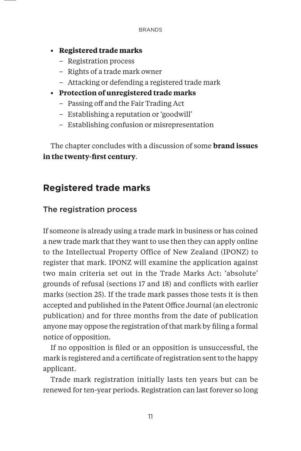- **• Registered trade marks**
	- Registration process
	- Rights of a trade mark owner
	- Attacking or defending a registered trade mark
- **• Protection of unregistered trade marks**
	- Passing off and the Fair Trading Act
	- Establishing a reputation or 'goodwill'
	- Establishing confusion or misrepresentation

The chapter concludes with a discussion of some **brand issues in the twenty-first century**.

### **Registered trade marks**

#### The registration process

If someone is already using a trade mark in business or has coined a new trade mark that they want to use then they can apply online to the Intellectual Property Office of New Zealand (IPONZ) to register that mark. IPONZ will examine the application against two main criteria set out in the Trade Marks Act: 'absolute' grounds of refusal (sections 17 and 18) and conflicts with earlier marks (section 25). If the trade mark passes those tests it is then accepted and published in the Patent Office Journal (an electronic publication) and for three months from the date of publication anyone may oppose the registration of that mark by filing a formal notice of opposition.

If no opposition is filed or an opposition is unsuccessful, the mark is registered and a certificate of registration sent to the happy applicant.

Trade mark registration initially lasts ten years but can be renewed for ten-year periods. Registration can last forever so long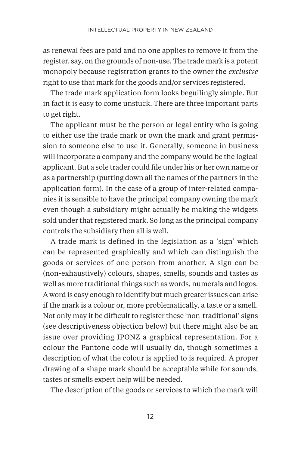as renewal fees are paid and no one applies to remove it from the register, say, on the grounds of non-use. The trade mark is a potent monopoly because registration grants to the owner the *exclusive* right to use that mark for the goods and/or services registered.

The trade mark application form looks beguilingly simple. But in fact it is easy to come unstuck. There are three important parts to get right.

The applicant must be the person or legal entity who is going to either use the trade mark or own the mark and grant permission to someone else to use it. Generally, someone in business will incorporate a company and the company would be the logical applicant. But a sole trader could file under his or her own name or as a partnership (putting down all the names of the partners in the application form). In the case of a group of inter-related companies it is sensible to have the principal company owning the mark even though a subsidiary might actually be making the widgets sold under that registered mark. So long as the principal company controls the subsidiary then all is well.

A trade mark is defined in the legislation as a 'sign' which can be represented graphically and which can distinguish the goods or services of one person from another. A sign can be (non-exhaustively) colours, shapes, smells, sounds and tastes as well as more traditional things such as words, numerals and logos. A word is easy enough to identify but much greater issues can arise if the mark is a colour or, more problematically, a taste or a smell. Not only may it be difficult to register these 'non-traditional' signs (see descriptiveness objection below) but there might also be an issue over providing IPONZ a graphical representation. For a colour the Pantone code will usually do, though sometimes a description of what the colour is applied to is required. A proper drawing of a shape mark should be acceptable while for sounds, tastes or smells expert help will be needed.

The description of the goods or services to which the mark will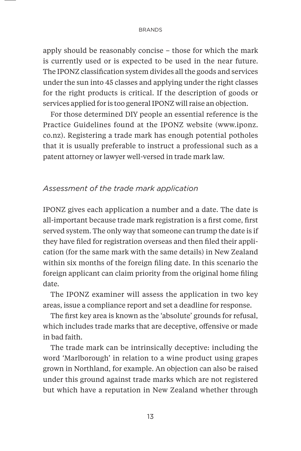apply should be reasonably concise – those for which the mark is currently used or is expected to be used in the near future. The IPONZ classification system divides all the goods and services under the sun into 45 classes and applying under the right classes for the right products is critical. If the description of goods or services applied for is too general IPONZ will raise an objection.

For those determined DIY people an essential reference is the Practice Guidelines found at the IPONZ website (www.iponz. co.nz). Registering a trade mark has enough potential potholes that it is usually preferable to instruct a professional such as a patent attorney or lawyer well-versed in trade mark law.

#### *Assessment of the trade mark application*

IPONZ gives each application a number and a date. The date is all-important because trade mark registration is a first come, first served system. The only way that someone can trump the date is if they have filed for registration overseas and then filed their application (for the same mark with the same details) in New Zealand within six months of the foreign filing date. In this scenario the foreign applicant can claim priority from the original home filing date.

The IPONZ examiner will assess the application in two key areas, issue a compliance report and set a deadline for response.

The first key area is known as the 'absolute' grounds for refusal, which includes trade marks that are deceptive, offensive or made in bad faith.

The trade mark can be intrinsically deceptive: including the word 'Marlborough' in relation to a wine product using grapes grown in Northland, for example. An objection can also be raised under this ground against trade marks which are not registered but which have a reputation in New Zealand whether through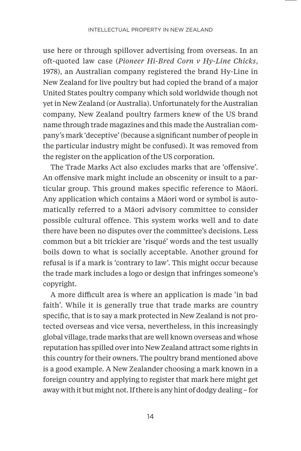use here or through spillover advertising from overseas. In an oft-quoted law case (*Pioneer Hi-Bred Corn v Hy-Line Chicks*, 1978), an Australian company registered the brand Hy-Line in New Zealand for live poultry but had copied the brand of a major United States poultry company which sold worldwide though not yet in New Zealand (or Australia). Unfortunately for the Australian company, New Zealand poultry farmers knew of the US brand name through trade magazines and this made the Australian company's mark 'deceptive' (because a significant number of people in the particular industry might be confused). It was removed from the register on the application of the US corporation.

The Trade Marks Act also excludes marks that are 'offensive'. An offensive mark might include an obscenity or insult to a particular group. This ground makes specific reference to Māori. Any application which contains a Māori word or symbol is automatically referred to a Māori advisory committee to consider possible cultural offence. This system works well and to date there have been no disputes over the committee's decisions. Less common but a bit trickier are 'risqué' words and the test usually boils down to what is socially acceptable. Another ground for refusal is if a mark is 'contrary to law'. This might occur because the trade mark includes a logo or design that infringes someone's copyright.

A more difficult area is where an application is made 'in bad faith'. While it is generally true that trade marks are country specific, that is to say a mark protected in New Zealand is not protected overseas and vice versa, nevertheless, in this increasingly global village, trade marks that are well known overseas and whose reputation has spilled over into New Zealand attract some rights in this country for their owners. The poultry brand mentioned above is a good example. A New Zealander choosing a mark known in a foreign country and applying to register that mark here might get away with it but might not. Ifthere is any hint of dodgy dealing – for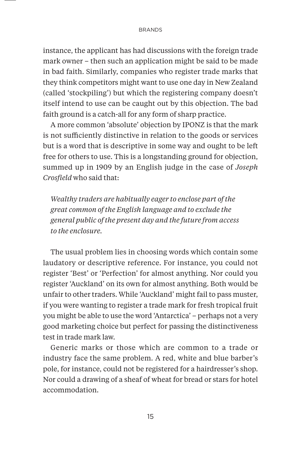#### BRANDS

instance, the applicant has had discussions with the foreign trade mark owner – then such an application might be said to be made in bad faith. Similarly, companies who register trade marks that they think competitors might want to use one day in New Zealand (called 'stockpiling') but which the registering company doesn't itself intend to use can be caught out by this objection. The bad faith ground is a catch-all for any form of sharp practice.

A more common 'absolute' objection by IPONZ is that the mark is not sufficiently distinctive in relation to the goods or services but is a word that is descriptive in some way and ought to be left free for others to use. This is a longstanding ground for objection, summed up in 1909 by an English judge in the case of *Joseph Crosfield* who said that:

*Wealthy traders are habitually eager to enclose part of the great common of the English language and to exclude the general public of the present day and the future from access to the enclosure.*

The usual problem lies in choosing words which contain some laudatory or descriptive reference. For instance, you could not register 'Best' or 'Perfection' for almost anything. Nor could you register 'Auckland' on its own for almost anything. Both would be unfair to other traders. While 'Auckland' might fail to pass muster, if you were wanting to register a trade mark for fresh tropical fruit you might be able to use the word 'Antarctica' – perhaps not a very good marketing choice but perfect for passing the distinctiveness test in trade mark law.

Generic marks or those which are common to a trade or industry face the same problem. A red, white and blue barber's pole, for instance, could not be registered for a hairdresser's shop. Nor could a drawing of a sheaf of wheat for bread or stars for hotel accommodation.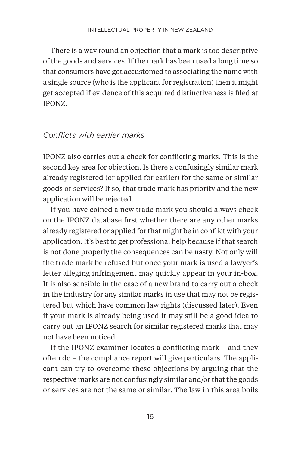There is a way round an objection that a mark is too descriptive of the goods and services. If the mark has been used a long time so that consumers have got accustomed to associating the name with a single source (who is the applicant for registration) then it might get accepted if evidence of this acquired distinctiveness is filed at IPONZ.

#### *Conflicts with earlier marks*

IPONZ also carries out a check for conflicting marks. This is the second key area for objection. Is there a confusingly similar mark already registered (or applied for earlier) for the same or similar goods or services? If so, that trade mark has priority and the new application will be rejected.

If you have coined a new trade mark you should always check on the IPONZ database first whether there are any other marks already registered or applied for that might be in conflict with your application. It's best to get professional help because if that search is not done properly the consequences can be nasty. Not only will the trade mark be refused but once your mark is used a lawyer's letter alleging infringement may quickly appear in your in-box. It is also sensible in the case of a new brand to carry out a check in the industry for any similar marks in use that may not be registered but which have common law rights (discussed later). Even if your mark is already being used it may still be a good idea to carry out an IPONZ search for similar registered marks that may not have been noticed.

If the IPONZ examiner locates a conflicting mark – and they often do – the compliance report will give particulars. The applicant can try to overcome these objections by arguing that the respective marks are not confusingly similar and/or that the goods or services are not the same or similar. The law in this area boils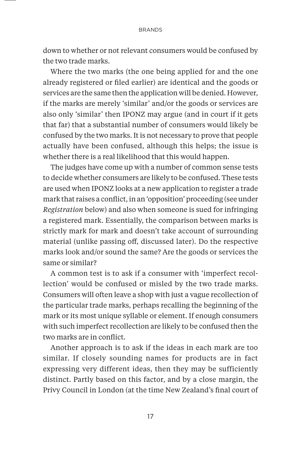down to whether or not relevant consumers would be confused by the two trade marks.

Where the two marks (the one being applied for and the one already registered or filed earlier) are identical and the goods or services are the same then the application will be denied. However, if the marks are merely 'similar' and/or the goods or services are also only 'similar' then IPONZ may argue (and in court if it gets that far) that a substantial number of consumers would likely be confused by the two marks. It is not necessary to prove that people actually have been confused, although this helps; the issue is whether there is a real likelihood that this would happen.

The judges have come up with a number of common sense tests to decide whether consumers are likely to be confused. These tests are used when IPONZ looks at a new application to register a trade mark that raises a conflict, in an 'opposition' proceeding (see under *Registration* below) and also when someone is sued for infringing a registered mark. Essentially, the comparison between marks is strictly mark for mark and doesn't take account of surrounding material (unlike passing off, discussed later). Do the respective marks look and/or sound the same? Are the goods or services the same or similar?

A common test is to ask if a consumer with 'imperfect recollection' would be confused or misled by the two trade marks. Consumers will often leave a shop with just a vague recollection of the particular trade marks, perhaps recalling the beginning of the mark or its most unique syllable or element. If enough consumers with such imperfect recollection are likely to be confused then the two marks are in conflict.

Another approach is to ask if the ideas in each mark are too similar. If closely sounding names for products are in fact expressing very different ideas, then they may be sufficiently distinct. Partly based on this factor, and by a close margin, the Privy Council in London (at the time New Zealand's final court of